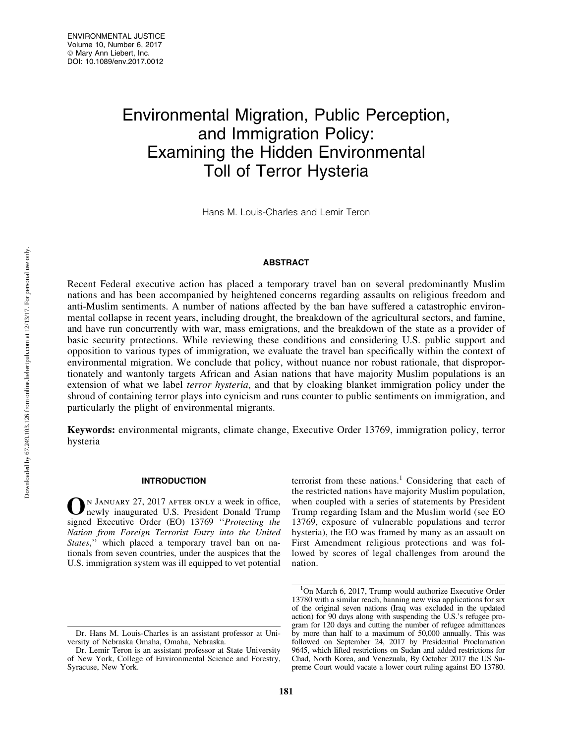# Environmental Migration, Public Perception, and Immigration Policy: Examining the Hidden Environmental Toll of Terror Hysteria

Hans M. Louis-Charles and Lemir Teron

# ABSTRACT

Recent Federal executive action has placed a temporary travel ban on several predominantly Muslim nations and has been accompanied by heightened concerns regarding assaults on religious freedom and anti-Muslim sentiments. A number of nations affected by the ban have suffered a catastrophic environmental collapse in recent years, including drought, the breakdown of the agricultural sectors, and famine, and have run concurrently with war, mass emigrations, and the breakdown of the state as a provider of basic security protections. While reviewing these conditions and considering U.S. public support and opposition to various types of immigration, we evaluate the travel ban specifically within the context of environmental migration. We conclude that policy, without nuance nor robust rationale, that disproportionately and wantonly targets African and Asian nations that have majority Muslim populations is an extension of what we label *terror hysteria*, and that by cloaking blanket immigration policy under the shroud of containing terror plays into cynicism and runs counter to public sentiments on immigration, and particularly the plight of environmental migrants.

Keywords: environmental migrants, climate change, Executive Order 13769, immigration policy, terror hysteria

## INTRODUCTION

N JANUARY 27, 2017 AFTER ONLY a week in office, newly inaugurated U.S. President Donald Trump signed Executive Order (EO) 13769 ''*Protecting the Nation from Foreign Terrorist Entry into the United States*,'' which placed a temporary travel ban on nationals from seven countries, under the auspices that the U.S. immigration system was ill equipped to vet potential terrorist from these nations.<sup>1</sup> Considering that each of the restricted nations have majority Muslim population, when coupled with a series of statements by President Trump regarding Islam and the Muslim world (see EO 13769, exposure of vulnerable populations and terror hysteria), the EO was framed by many as an assault on First Amendment religious protections and was followed by scores of legal challenges from around the nation.

Dr. Hans M. Louis-Charles is an assistant professor at University of Nebraska Omaha, Omaha, Nebraska.

Dr. Lemir Teron is an assistant professor at State University of New York, College of Environmental Science and Forestry, Syracuse, New York.

<sup>&</sup>lt;sup>1</sup>On March 6, 2017, Trump would authorize Executive Order 13780 with a similar reach, banning new visa applications for six of the original seven nations (Iraq was excluded in the updated action) for 90 days along with suspending the U.S.'s refugee program for 120 days and cutting the number of refugee admittances by more than half to a maximum of 50,000 annually. This was followed on September 24, 2017 by Presidential Proclamation 9645, which lifted restrictions on Sudan and added restrictions for Chad, North Korea, and Venezuala, By October 2017 the US Supreme Court would vacate a lower court ruling against EO 13780.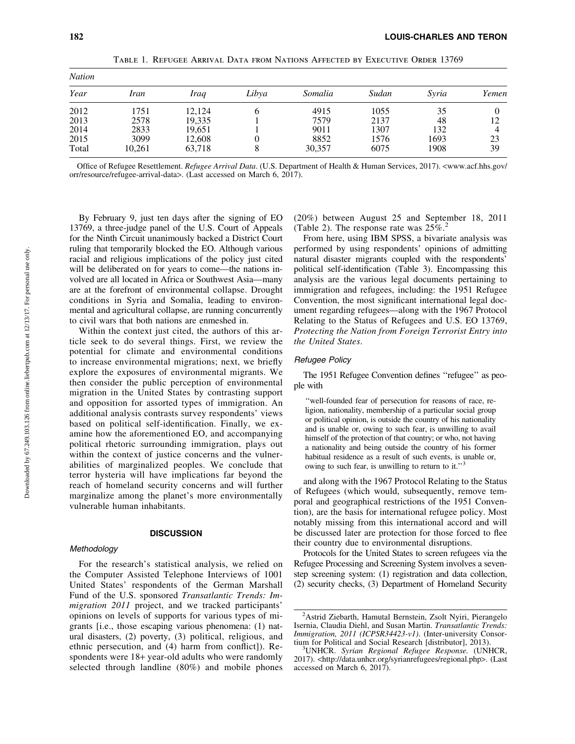| <b>Nation</b> |        |        |       |         |       |       |       |  |
|---------------|--------|--------|-------|---------|-------|-------|-------|--|
| Year          | Iran   | Iraq   | Libya | Somalia | Sudan | Syria | Yemen |  |
| 2012          | 1751   | 12.124 | h     | 4915    | 1055  | 35    |       |  |
| 2013          | 2578   | 19,335 |       | 7579    | 2137  | 48    | 12    |  |
| 2014          | 2833   | 19,651 |       | 9011    | 1307  | 132   |       |  |
| 2015          | 3099   | 12.608 | 0     | 8852    | 1576  | 1693  | 23    |  |
| Total         | 10,261 | 63,718 | 8     | 30,357  | 6075  | 1908  | 39    |  |

Table 1. Refugee Arrival Data from Nations Affected by Executive Order 13769

Office of Refugee Resettlement. *Refugee Arrival Data*. (U.S. Department of Health & Human Services, 2017). <www.acf.hhs.gov/ orr/resource/refugee-arrival-data>. (Last accessed on March 6, 2017).

By February 9, just ten days after the signing of EO 13769, a three-judge panel of the U.S. Court of Appeals for the Ninth Circuit unanimously backed a District Court ruling that temporarily blocked the EO. Although various racial and religious implications of the policy just cited will be deliberated on for years to come—the nations involved are all located in Africa or Southwest Asia—many are at the forefront of environmental collapse. Drought conditions in Syria and Somalia, leading to environmental and agricultural collapse, are running concurrently to civil wars that both nations are enmeshed in.

Within the context just cited, the authors of this article seek to do several things. First, we review the potential for climate and environmental conditions to increase environmental migrations; next, we briefly explore the exposures of environmental migrants. We then consider the public perception of environmental migration in the United States by contrasting support and opposition for assorted types of immigration. An additional analysis contrasts survey respondents' views based on political self-identification. Finally, we examine how the aforementioned EO, and accompanying political rhetoric surrounding immigration, plays out within the context of justice concerns and the vulnerabilities of marginalized peoples. We conclude that terror hysteria will have implications far beyond the reach of homeland security concerns and will further marginalize among the planet's more environmentally vulnerable human inhabitants.

## **DISCUSSION**

### **Methodology**

For the research's statistical analysis, we relied on the Computer Assisted Telephone Interviews of 1001 United States' respondents of the German Marshall Fund of the U.S. sponsored *Transatlantic Trends: Immigration 2011* project, and we tracked participants' opinions on levels of supports for various types of migrants [i.e., those escaping various phenomena: (1) natural disasters, (2) poverty, (3) political, religious, and ethnic persecution, and (4) harm from conflict]). Respondents were 18+ year-old adults who were randomly selected through landline (80%) and mobile phones (20%) between August 25 and September 18, 2011 (Table 2). The response rate was  $25\%$ <sup>2</sup>

From here, using IBM SPSS, a bivariate analysis was performed by using respondents' opinions of admitting natural disaster migrants coupled with the respondents' political self-identification (Table 3). Encompassing this analysis are the various legal documents pertaining to immigration and refugees, including: the 1951 Refugee Convention, the most significant international legal document regarding refugees—along with the 1967 Protocol Relating to the Status of Refugees and U.S. EO 13769, *Protecting the Nation from Foreign Terrorist Entry into the United States*.

### Refugee Policy

The 1951 Refugee Convention defines ''refugee'' as people with

''well-founded fear of persecution for reasons of race, religion, nationality, membership of a particular social group or political opinion, is outside the country of his nationality and is unable or, owing to such fear, is unwilling to avail himself of the protection of that country; or who, not having a nationality and being outside the country of his former habitual residence as a result of such events, is unable or, owing to such fear, is unwilling to return to it."<sup>3</sup>

and along with the 1967 Protocol Relating to the Status of Refugees (which would, subsequently, remove temporal and geographical restrictions of the 1951 Convention), are the basis for international refugee policy. Most notably missing from this international accord and will be discussed later are protection for those forced to flee their country due to environmental disruptions.

Protocols for the United States to screen refugees via the Refugee Processing and Screening System involves a sevenstep screening system: (1) registration and data collection, (2) security checks, (3) Department of Homeland Security

<sup>&</sup>lt;sup>2</sup> Astrid Ziebarth, Hamutal Bernstein, Zsolt Nyiri, Pierangelo Isernia, Claudia Diehl, and Susan Martin. *Transatlantic Trends: Immigration, 2011 (ICPSR34423-v1)*. (Inter-university Consortium for Political and Social Research [distributor], 2013).

UNHCR. *Syrian Regional Refugee Response.* (UNHCR, 2017). <http://data.unhcr.org/syrianrefugees/regional.php>. (Last accessed on March 6, 2017).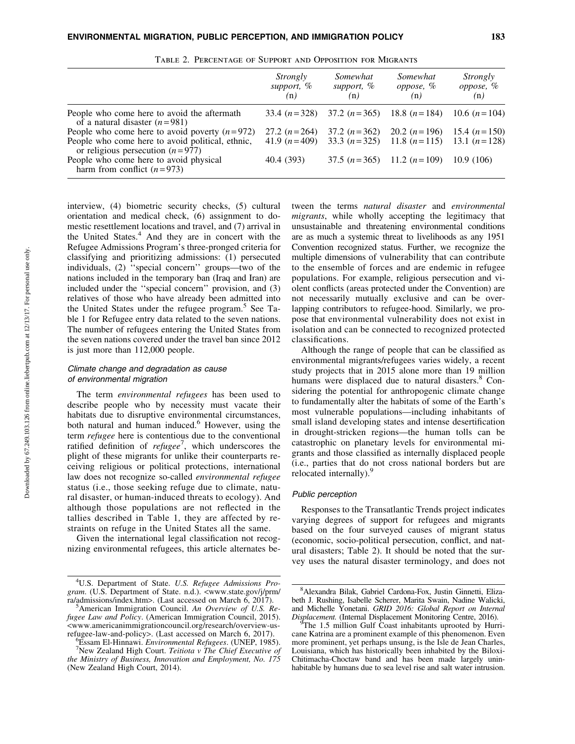|                                                                                        | Strongly<br>support, %<br>(n) | Somewhat<br>support, %<br>(n) | Somewhat<br>oppose, %<br>(n)                 | Strongly<br>oppose, %<br>(n) |
|----------------------------------------------------------------------------------------|-------------------------------|-------------------------------|----------------------------------------------|------------------------------|
| People who come here to avoid the aftermath<br>of a natural disaster $(n=981)$         |                               |                               | 33.4 $(n=328)$ 37.2 $(n=365)$ 18.8 $(n=184)$ | 10.6 $(n=104)$               |
| People who come here to avoid poverty $(n=972)$                                        | 27.2 $(n=264)$                |                               | 37.2 $(n=362)$ 20.2 $(n=196)$                | 15.4 $(n=150)$               |
| People who come here to avoid political, ethnic,<br>or religious persecution $(n=977)$ | 41.9 $(n=409)$                |                               | 33.3 $(n=325)$ 11.8 $(n=115)$ 13.1 $(n=128)$ |                              |
| People who come here to avoid physical<br>harm from conflict $(n=973)$                 | 40.4 (393)                    |                               | 37.5 $(n=365)$ 11.2 $(n=109)$                | 10.9(106)                    |

Table 2. Percentage of Support and Opposition for Migrants

interview, (4) biometric security checks, (5) cultural orientation and medical check, (6) assignment to domestic resettlement locations and travel, and (7) arrival in the United States. $4$  And they are in concert with the Refugee Admissions Program's three-pronged criteria for classifying and prioritizing admissions: (1) persecuted individuals, (2) ''special concern'' groups—two of the nations included in the temporary ban (Iraq and Iran) are included under the ''special concern'' provision, and (3) relatives of those who have already been admitted into the United States under the refugee program.<sup>5</sup> See Table 1 for Refugee entry data related to the seven nations. The number of refugees entering the United States from the seven nations covered under the travel ban since 2012 is just more than 112,000 people.

# Climate change and degradation as cause of environmental migration

The term *environmental refugees* has been used to describe people who by necessity must vacate their habitats due to disruptive environmental circumstances, both natural and human induced.<sup>6</sup> However, using the term *refugee* here is contentious due to the conventional ratified definition of *refugee*<sup>7</sup> , which underscores the plight of these migrants for unlike their counterparts receiving religious or political protections, international law does not recognize so-called *environmental refugee* status (i.e., those seeking refuge due to climate, natural disaster, or human-induced threats to ecology). And although those populations are not reflected in the tallies described in Table 1, they are affected by restraints on refuge in the United States all the same.

Given the international legal classification not recognizing environmental refugees, this article alternates between the terms *natural disaster* and *environmental migrants*, while wholly accepting the legitimacy that unsustainable and threatening environmental conditions are as much a systemic threat to livelihoods as any 1951 Convention recognized status. Further, we recognize the multiple dimensions of vulnerability that can contribute to the ensemble of forces and are endemic in refugee populations. For example, religious persecution and violent conflicts (areas protected under the Convention) are not necessarily mutually exclusive and can be overlapping contributors to refugee-hood. Similarly, we propose that environmental vulnerability does not exist in isolation and can be connected to recognized protected classifications.

Although the range of people that can be classified as environmental migrants/refugees varies widely, a recent study projects that in 2015 alone more than 19 million humans were displaced due to natural disasters.<sup>8</sup> Considering the potential for anthropogenic climate change to fundamentally alter the habitats of some of the Earth's most vulnerable populations—including inhabitants of small island developing states and intense desertification in drought-stricken regions—the human tolls can be catastrophic on planetary levels for environmental migrants and those classified as internally displaced people (i.e., parties that do not cross national borders but are relocated internally).<sup>9</sup>

## Public perception

Responses to the Transatlantic Trends project indicates varying degrees of support for refugees and migrants based on the four surveyed causes of migrant status (economic, socio-political persecution, conflict, and natural disasters; Table 2). It should be noted that the survey uses the natural disaster terminology, and does not

<sup>4</sup> U.S. Department of State. *U.S. Refugee Admissions Program*. (U.S. Department of State. n.d.). <www.state.gov/j/prm/ ra/admissions/index.htm>. (Last accessed on March  $6, 2017$ ).

American Immigration Council. *An Overview of U.S. Refugee Law and Policy*. (American Immigration Council, 2015). <www.americanimmigrationcouncil.org/research/overview-usrefugee-law-and-policy>. (Last accessed on March 6, 2017).

Essam El-Hinnawi. *Environmental Refugees*. (UNEP, 1985). <sup>7</sup> New Zealand High Court. *Teitiota v The Chief Executive of the Ministry of Business, Innovation and Employment, No. 175* (New Zealand High Court, 2014).

<sup>8</sup> Alexandra Bilak, Gabriel Cardona-Fox, Justin Ginnetti, Elizabeth J. Rushing, Isabelle Scherer, Marita Swain, Nadine Walicki, and Michelle Yonetani. *GRID 2016: Global Report on Internal Displacement.* (Internal Displacement Monitoring Centre, 2016).

The 1.5 million Gulf Coast inhabitants uprooted by Hurricane Katrina are a prominent example of this phenomenon. Even more prominent, yet perhaps unsung, is the Isle de Jean Charles, Louisiana, which has historically been inhabited by the Biloxi-Chitimacha-Choctaw band and has been made largely uninhabitable by humans due to sea level rise and salt water intrusion.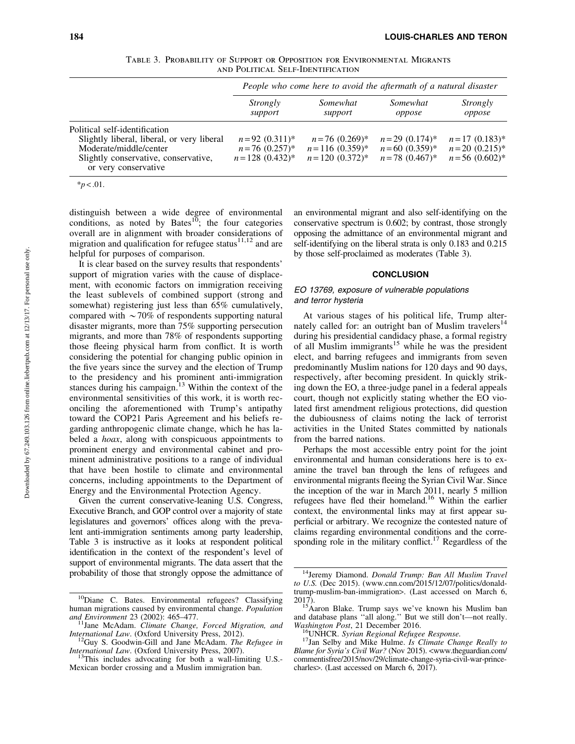|                                   |  |  |  |  |  | TABLE 3. PROBABILITY OF SUPPORT OR OPPOSITION FOR ENVIRONMENTAL MIGRANTS |  |
|-----------------------------------|--|--|--|--|--|--------------------------------------------------------------------------|--|
| AND POLITICAL SELF-IDENTIFICATION |  |  |  |  |  |                                                                          |  |

|                                                                                                                                                                       | People who come here to avoid the aftermath of a natural disaster |                                                               |                                                             |                                                         |  |  |
|-----------------------------------------------------------------------------------------------------------------------------------------------------------------------|-------------------------------------------------------------------|---------------------------------------------------------------|-------------------------------------------------------------|---------------------------------------------------------|--|--|
|                                                                                                                                                                       | Strongly<br>support                                               | Somewhat<br>support                                           | Somewhat<br>oppose                                          | Strongly<br>oppose                                      |  |  |
| Political self-identification<br>Slightly liberal, liberal, or very liberal<br>Moderate/middle/center<br>Slightly conservative, conservative,<br>or very conservative | $n=92(0.311)^*$<br>$n = 76$ (0.257)*<br>$n = 128$ (0.432)*        | $n = 76$ (0.269)*<br>$n = 116$ (0.359)*<br>$n = 120$ (0.372)* | $n = 29$ (0.174)*<br>$n = 60$ (0.359)*<br>$n = 78$ (0.467)* | $n=17(0.183)^*$<br>$n=20(0.215)^*$<br>$n = 56$ (0.602)* |  |  |

 $**p* < .01$ .

distinguish between a wide degree of environmental conditions, as noted by Bates $10^{\circ}$ ; the four categories overall are in alignment with broader considerations of migration and qualification for refugee status $11,12$  and are helpful for purposes of comparison.

It is clear based on the survey results that respondents' support of migration varies with the cause of displacement, with economic factors on immigration receiving the least sublevels of combined support (strong and somewhat) registering just less than 65% cumulatively, compared with  $\sim$  70% of respondents supporting natural disaster migrants, more than 75% supporting persecution migrants, and more than 78% of respondents supporting those fleeing physical harm from conflict. It is worth considering the potential for changing public opinion in the five years since the survey and the election of Trump to the presidency and his prominent anti-immigration stances during his campaign.<sup>13</sup> Within the context of the environmental sensitivities of this work, it is worth reconciling the aforementioned with Trump's antipathy toward the COP21 Paris Agreement and his beliefs regarding anthropogenic climate change, which he has labeled a *hoax*, along with conspicuous appointments to prominent energy and environmental cabinet and prominent administrative positions to a range of individual that have been hostile to climate and environmental concerns, including appointments to the Department of Energy and the Environmental Protection Agency.

Given the current conservative-leaning U.S. Congress, Executive Branch, and GOP control over a majority of state legislatures and governors' offices along with the prevalent anti-immigration sentiments among party leadership, Table 3 is instructive as it looks at respondent political identification in the context of the respondent's level of support of environmental migrants. The data assert that the probability of those that strongly oppose the admittance of an environmental migrant and also self-identifying on the conservative spectrum is 0.602; by contrast, those strongly opposing the admittance of an environmental migrant and self-identifying on the liberal strata is only 0.183 and 0.215 by those self-proclaimed as moderates (Table 3).

# **CONCLUSION**

## EO 13769, exposure of vulnerable populations and terror hysteria

At various stages of his political life, Trump alternately called for: an outright ban of Muslim travelers $<sup>14</sup>$ </sup> during his presidential candidacy phase, a formal registry of all Muslim immigrants<sup>15</sup> while he was the president elect, and barring refugees and immigrants from seven predominantly Muslim nations for 120 days and 90 days, respectively, after becoming president. In quickly striking down the EO, a three-judge panel in a federal appeals court, though not explicitly stating whether the EO violated first amendment religious protections, did question the dubiousness of claims noting the lack of terrorist activities in the United States committed by nationals from the barred nations.

Perhaps the most accessible entry point for the joint environmental and human considerations here is to examine the travel ban through the lens of refugees and environmental migrants fleeing the Syrian Civil War. Since the inception of the war in March 2011, nearly 5 million refugees have fled their homeland.16 Within the earlier context, the environmental links may at first appear superficial or arbitrary. We recognize the contested nature of claims regarding environmental conditions and the corresponding role in the military conflict.<sup>17</sup> Regardless of the

<sup>&</sup>lt;sup>10</sup>Diane C. Bates. Environmental refugees? Classifying human migrations caused by environmental change. *Population*

<sup>&</sup>lt;sup>1</sup>Jane McAdam. Climate Change, Forced Migration, and *International Law.* (Oxford University Press, 2012). <sup>12</sup>Guy S. Goodwin-Gill and Jane McAdam. *The Refugee in* 

*International Law.* (Oxford University Press, 2007). <sup>13</sup>This includes advocating for both a wall-limiting U.S.-

Mexican border crossing and a Muslim immigration ban.

<sup>14</sup>Jeremy Diamond. *Donald Trump: Ban All Muslim Travel to U.S.* (Dec 2015). (www.cnn.com/2015/12/07/politics/donaldtrump-muslim-ban-immigration>. (Last accessed on March 6, 2017).<br>15 Aaron Blake. Trump says we've known his Muslim ban

and database plans ''all along.'' But we still don't—not really. *Washington Post*, 21 December 2016.<br><sup>16</sup>UNHCR. *Syrian Regional Refugee Response.* <sup>17</sup>Jan Selby and Mike Hulme. *Is Climate Change Really to* 

*Blame for Syria's Civil War?* (Nov 2015). <www.theguardian.com/ commentisfree/2015/nov/29/climate-change-syria-civil-war-princecharles>. (Last accessed on March 6, 2017).